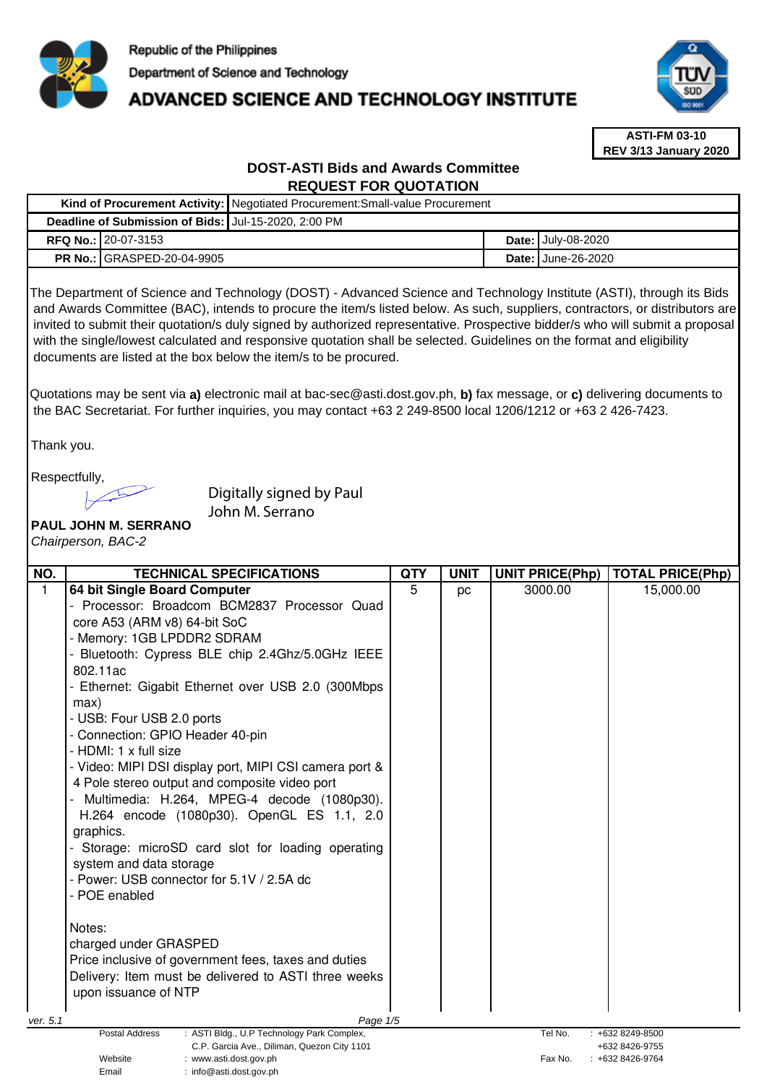

: info@asti.dost.gov.ph

# ADVANCED SCIENCE AND TECHNOLOGY INSTITUTE



**ASTI-FM 03-10 REV 3/13 January 2020**

# **DOST-ASTI Bids and Awards Committee REQUEST FOR QUOTATION**

|                                                                                                                                                                                                                                                                                                                                                                                                                                                                                                                                                                                     |                                                                                                                                                                                                                                                                                                                                                                                                                                                                                    | Kind of Procurement Activity: Negotiated Procurement: Small-value Procurement                                                                                                                                                                                                                                                                                                                                                       |            |             |  |                        |                         |
|-------------------------------------------------------------------------------------------------------------------------------------------------------------------------------------------------------------------------------------------------------------------------------------------------------------------------------------------------------------------------------------------------------------------------------------------------------------------------------------------------------------------------------------------------------------------------------------|------------------------------------------------------------------------------------------------------------------------------------------------------------------------------------------------------------------------------------------------------------------------------------------------------------------------------------------------------------------------------------------------------------------------------------------------------------------------------------|-------------------------------------------------------------------------------------------------------------------------------------------------------------------------------------------------------------------------------------------------------------------------------------------------------------------------------------------------------------------------------------------------------------------------------------|------------|-------------|--|------------------------|-------------------------|
|                                                                                                                                                                                                                                                                                                                                                                                                                                                                                                                                                                                     | Deadline of Submission of Bids: Jul-15-2020, 2:00 PM                                                                                                                                                                                                                                                                                                                                                                                                                               |                                                                                                                                                                                                                                                                                                                                                                                                                                     |            |             |  |                        |                         |
| RFQ No.: 20-07-3153                                                                                                                                                                                                                                                                                                                                                                                                                                                                                                                                                                 |                                                                                                                                                                                                                                                                                                                                                                                                                                                                                    |                                                                                                                                                                                                                                                                                                                                                                                                                                     |            |             |  | Date: July-08-2020     |                         |
|                                                                                                                                                                                                                                                                                                                                                                                                                                                                                                                                                                                     | PR No.: GRASPED-20-04-9905                                                                                                                                                                                                                                                                                                                                                                                                                                                         |                                                                                                                                                                                                                                                                                                                                                                                                                                     |            |             |  | Date: June-26-2020     |                         |
| The Department of Science and Technology (DOST) - Advanced Science and Technology Institute (ASTI), through its Bids<br>and Awards Committee (BAC), intends to procure the item/s listed below. As such, suppliers, contractors, or distributors are<br>invited to submit their quotation/s duly signed by authorized representative. Prospective bidder/s who will submit a proposal<br>with the single/lowest calculated and responsive quotation shall be selected. Guidelines on the format and eligibility<br>documents are listed at the box below the item/s to be procured. |                                                                                                                                                                                                                                                                                                                                                                                                                                                                                    |                                                                                                                                                                                                                                                                                                                                                                                                                                     |            |             |  |                        |                         |
| Quotations may be sent via a) electronic mail at bac-sec@asti.dost.gov.ph, b) fax message, or c) delivering documents to<br>the BAC Secretariat. For further inquiries, you may contact +63 2 249-8500 local 1206/1212 or +63 2 426-7423.                                                                                                                                                                                                                                                                                                                                           |                                                                                                                                                                                                                                                                                                                                                                                                                                                                                    |                                                                                                                                                                                                                                                                                                                                                                                                                                     |            |             |  |                        |                         |
|                                                                                                                                                                                                                                                                                                                                                                                                                                                                                                                                                                                     | Thank you.<br>Respectfully,<br>Digitally signed by Paul<br>John M. Serrano<br>PAUL JOHN M. SERRANO<br>Chairperson, BAC-2                                                                                                                                                                                                                                                                                                                                                           |                                                                                                                                                                                                                                                                                                                                                                                                                                     |            |             |  |                        |                         |
| NO.                                                                                                                                                                                                                                                                                                                                                                                                                                                                                                                                                                                 |                                                                                                                                                                                                                                                                                                                                                                                                                                                                                    | <b>TECHNICAL SPECIFICATIONS</b>                                                                                                                                                                                                                                                                                                                                                                                                     | <b>QTY</b> | <b>UNIT</b> |  | <b>UNIT PRICE(Php)</b> | <b>TOTAL PRICE(Php)</b> |
| $\mathbf{1}$<br>ver. 5.1                                                                                                                                                                                                                                                                                                                                                                                                                                                                                                                                                            | 64 bit Single Board Computer<br>core A53 (ARM v8) 64-bit SoC<br>- Memory: 1GB LPDDR2 SDRAM<br>802.11ac<br>max)<br>- USB: Four USB 2.0 ports<br>- Connection: GPIO Header 40-pin<br>- HDMI: 1 x full size<br>4 Pole stereo output and composite video port<br>graphics.<br>system and data storage<br>- Power: USB connector for 5.1V / 2.5A dc<br>- POE enabled<br>Notes:<br>charged under GRASPED<br>Price inclusive of government fees, taxes and duties<br>upon issuance of NTP | - Processor: Broadcom BCM2837 Processor Quad<br>Bluetooth: Cypress BLE chip 2.4Ghz/5.0GHz IEEE<br>- Ethernet: Gigabit Ethernet over USB 2.0 (300Mbps<br>- Video: MIPI DSI display port, MIPI CSI camera port &<br>Multimedia: H.264, MPEG-4 decode (1080p30).<br>H.264 encode (1080p30). OpenGL ES 1.1, 2.0<br>Storage: microSD card slot for loading operating<br>Delivery: Item must be delivered to ASTI three weeks<br>Page 1/5 | 5          | pc          |  | 3000.00                | 15,000.00               |
|                                                                                                                                                                                                                                                                                                                                                                                                                                                                                                                                                                                     | Postal Address                                                                                                                                                                                                                                                                                                                                                                                                                                                                     | : ASTI Bldg., U.P Technology Park Complex,                                                                                                                                                                                                                                                                                                                                                                                          |            |             |  | Tel No.                | +632 8249-8500          |
| C.P. Garcia Ave., Diliman, Quezon City 1101<br>+632 8426-9755<br>Website<br>: www.asti.dost.gov.ph<br>Fax No.<br>$: +6328426 - 9764$<br>Email<br>: $info@astidost.gov.ph$                                                                                                                                                                                                                                                                                                                                                                                                           |                                                                                                                                                                                                                                                                                                                                                                                                                                                                                    |                                                                                                                                                                                                                                                                                                                                                                                                                                     |            |             |  |                        |                         |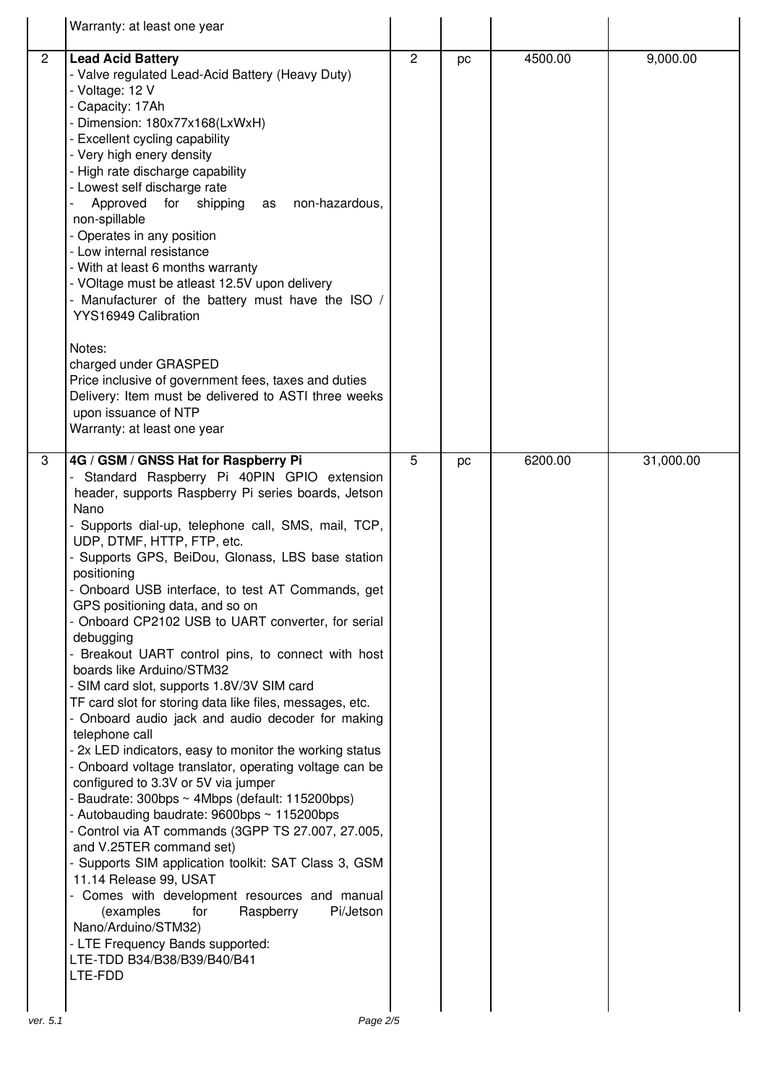|                | Warranty: at least one year                                                                                                                                                                                                                                                                                                                                                                                                                                                                                                                                                                                                                                                                                                                                                                                                                                                                                                                                                                                                                                                                                                                                                                                                                                                                                                                                               |                |    |         |           |
|----------------|---------------------------------------------------------------------------------------------------------------------------------------------------------------------------------------------------------------------------------------------------------------------------------------------------------------------------------------------------------------------------------------------------------------------------------------------------------------------------------------------------------------------------------------------------------------------------------------------------------------------------------------------------------------------------------------------------------------------------------------------------------------------------------------------------------------------------------------------------------------------------------------------------------------------------------------------------------------------------------------------------------------------------------------------------------------------------------------------------------------------------------------------------------------------------------------------------------------------------------------------------------------------------------------------------------------------------------------------------------------------------|----------------|----|---------|-----------|
| $\overline{2}$ | <b>Lead Acid Battery</b><br>- Valve regulated Lead-Acid Battery (Heavy Duty)<br>- Voltage: 12 V<br>- Capacity: 17Ah<br>- Dimension: 180x77x168(LxWxH)<br>- Excellent cycling capability<br>- Very high enery density<br>- High rate discharge capability<br>- Lowest self discharge rate<br>Approved<br>for<br>shipping<br>non-hazardous,<br>as<br>non-spillable<br>- Operates in any position<br>- Low internal resistance<br>- With at least 6 months warranty<br>- VOItage must be atleast 12.5V upon delivery<br>Manufacturer of the battery must have the ISO<br>YYS16949 Calibration<br>Notes:<br>charged under GRASPED<br>Price inclusive of government fees, taxes and duties<br>Delivery: Item must be delivered to ASTI three weeks                                                                                                                                                                                                                                                                                                                                                                                                                                                                                                                                                                                                                             | $\overline{c}$ | pc | 4500.00 | 9,000.00  |
|                | upon issuance of NTP<br>Warranty: at least one year                                                                                                                                                                                                                                                                                                                                                                                                                                                                                                                                                                                                                                                                                                                                                                                                                                                                                                                                                                                                                                                                                                                                                                                                                                                                                                                       |                |    |         |           |
| 3              | 4G / GSM / GNSS Hat for Raspberry Pi<br>Standard Raspberry Pi 40PIN GPIO extension<br>header, supports Raspberry Pi series boards, Jetson<br>Nano<br>- Supports dial-up, telephone call, SMS, mail, TCP,<br>UDP, DTMF, HTTP, FTP, etc.<br>- Supports GPS, BeiDou, Glonass, LBS base station<br>positioning<br>Onboard USB interface, to test AT Commands, get<br>GPS positioning data, and so on<br>- Onboard CP2102 USB to UART converter, for serial<br>debugging<br>Breakout UART control pins, to connect with host<br>boards like Arduino/STM32<br>- SIM card slot, supports 1.8V/3V SIM card<br>TF card slot for storing data like files, messages, etc.<br>- Onboard audio jack and audio decoder for making<br>telephone call<br>- 2x LED indicators, easy to monitor the working status<br>- Onboard voltage translator, operating voltage can be<br>configured to 3.3V or 5V via jumper<br>- Baudrate: 300bps ~ 4Mbps (default: 115200bps)<br>- Autobauding baudrate: 9600bps ~ 115200bps<br>- Control via AT commands (3GPP TS 27.007, 27.005,<br>and V.25TER command set)<br>- Supports SIM application toolkit: SAT Class 3, GSM<br>11.14 Release 99, USAT<br>Comes with development resources and manual<br>Raspberry<br>Pi/Jetson<br>(examples<br>for<br>Nano/Arduino/STM32)<br>- LTE Frequency Bands supported:<br>LTE-TDD B34/B38/B39/B40/B41<br>LTE-FDD | 5              | pc | 6200.00 | 31,000.00 |
| ver. 5.1       | Page 2/5                                                                                                                                                                                                                                                                                                                                                                                                                                                                                                                                                                                                                                                                                                                                                                                                                                                                                                                                                                                                                                                                                                                                                                                                                                                                                                                                                                  |                |    |         |           |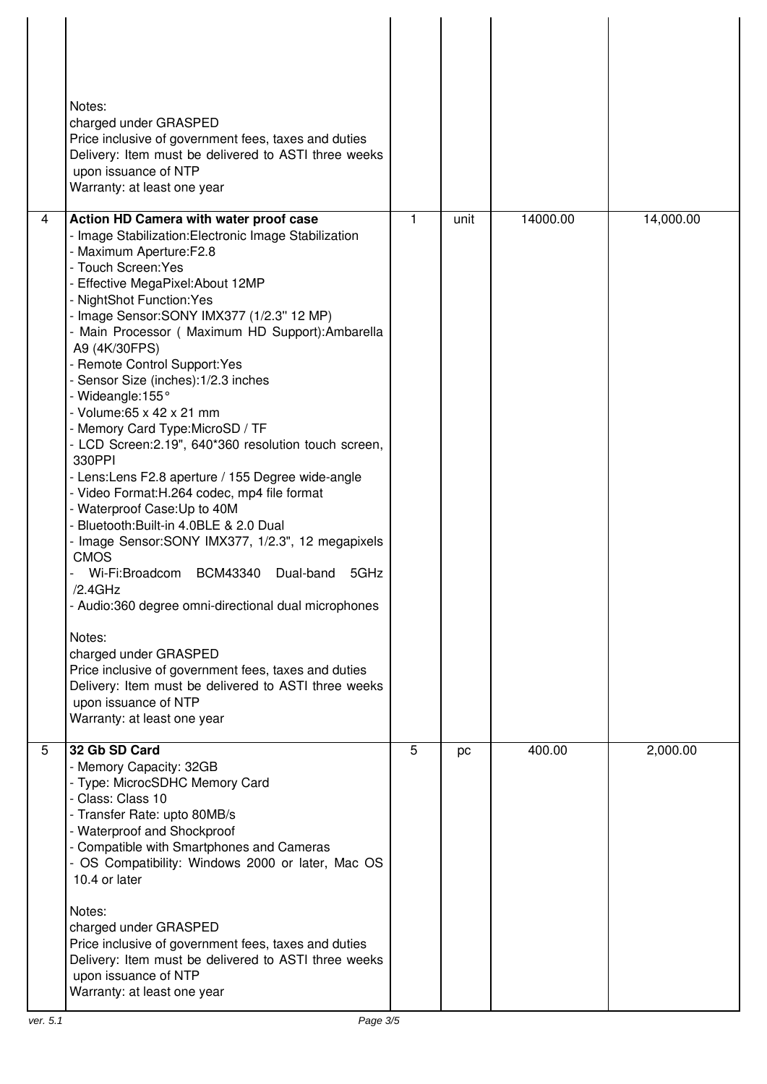|   | Notes:<br>charged under GRASPED<br>Price inclusive of government fees, taxes and duties<br>Delivery: Item must be delivered to ASTI three weeks<br>upon issuance of NTP<br>Warranty: at least one year                                                                                                                                                                                                                                                                                                                                                                                                                                                                                                                                                                                                                                                                                                                                                                                                                                                                                                                                                   |              |      |          |           |
|---|----------------------------------------------------------------------------------------------------------------------------------------------------------------------------------------------------------------------------------------------------------------------------------------------------------------------------------------------------------------------------------------------------------------------------------------------------------------------------------------------------------------------------------------------------------------------------------------------------------------------------------------------------------------------------------------------------------------------------------------------------------------------------------------------------------------------------------------------------------------------------------------------------------------------------------------------------------------------------------------------------------------------------------------------------------------------------------------------------------------------------------------------------------|--------------|------|----------|-----------|
| 4 | Action HD Camera with water proof case<br>- Image Stabilization: Electronic Image Stabilization<br>- Maximum Aperture:F2.8<br>- Touch Screen: Yes<br>- Effective MegaPixel: About 12MP<br>- NightShot Function: Yes<br>- Image Sensor: SONY IMX377 (1/2.3" 12 MP)<br>- Main Processor (Maximum HD Support): Ambarella<br>A9 (4K/30FPS)<br>- Remote Control Support: Yes<br>- Sensor Size (inches): 1/2.3 inches<br>- Wideangle: 155°<br>- Volume: 65 x 42 x 21 mm<br>- Memory Card Type: MicroSD / TF<br>- LCD Screen: 2.19", 640*360 resolution touch screen,<br>330PPI<br>- Lens: Lens F2.8 aperture / 155 Degree wide-angle<br>- Video Format: H.264 codec, mp4 file format<br>- Waterproof Case: Up to 40M<br>- Bluetooth: Built-in 4.0BLE & 2.0 Dual<br>- Image Sensor: SONY IMX377, 1/2.3", 12 megapixels<br><b>CMOS</b><br>Wi-Fi:Broadcom BCM43340 Dual-band<br>5GHz<br>/2.4GHz<br>- Audio:360 degree omni-directional dual microphones<br>Notes:<br>charged under GRASPED<br>Price inclusive of government fees, taxes and duties<br>Delivery: Item must be delivered to ASTI three weeks<br>upon issuance of NTP<br>Warranty: at least one year | $\mathbf{1}$ | unit | 14000.00 | 14,000.00 |
| 5 | 32 Gb SD Card<br>- Memory Capacity: 32GB<br>- Type: MicrocSDHC Memory Card<br>- Class: Class 10<br>- Transfer Rate: upto 80MB/s<br>- Waterproof and Shockproof<br>- Compatible with Smartphones and Cameras<br>- OS Compatibility: Windows 2000 or later, Mac OS<br>10.4 or later<br>Notes:<br>charged under GRASPED<br>Price inclusive of government fees, taxes and duties<br>Delivery: Item must be delivered to ASTI three weeks<br>upon issuance of NTP<br>Warranty: at least one year                                                                                                                                                                                                                                                                                                                                                                                                                                                                                                                                                                                                                                                              | 5            | pc   | 400.00   | 2,000.00  |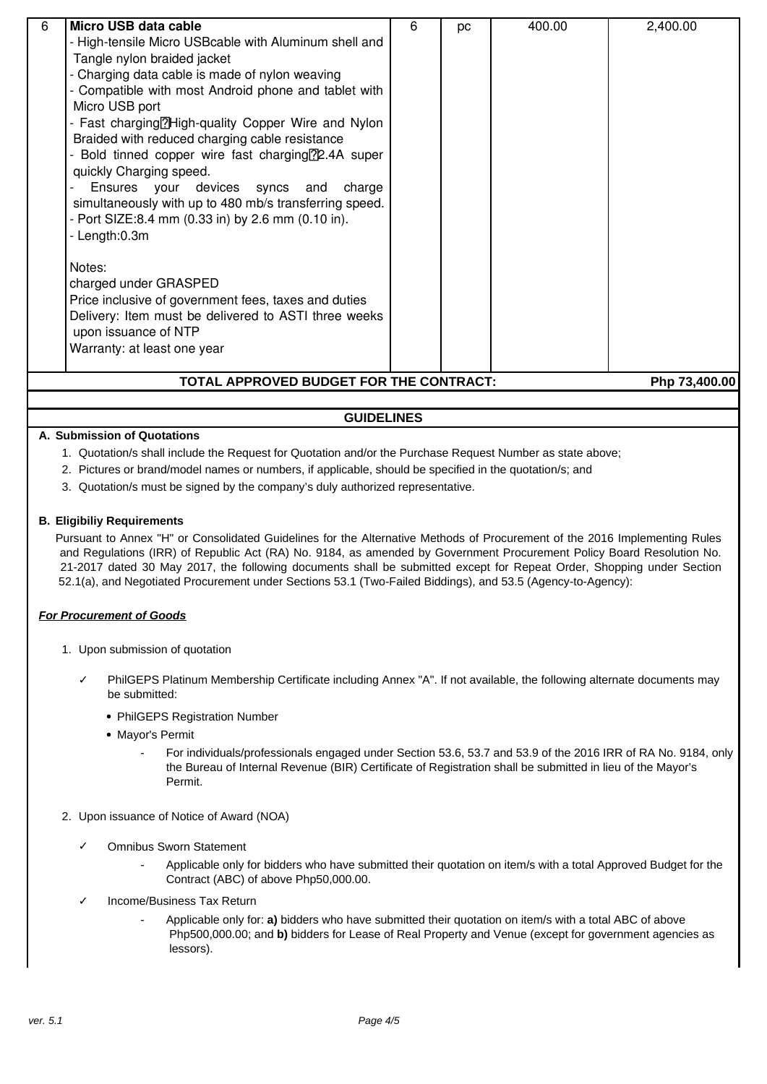| 6<br>Micro USB data cable                                         | 6 |    | 400.00 | 2,400.00 |  |  |
|-------------------------------------------------------------------|---|----|--------|----------|--|--|
|                                                                   |   | рc |        |          |  |  |
| - High-tensile Micro USBcable with Aluminum shell and             |   |    |        |          |  |  |
| Tangle nylon braided jacket                                       |   |    |        |          |  |  |
| - Charging data cable is made of nylon weaving                    |   |    |        |          |  |  |
| - Compatible with most Android phone and tablet with              |   |    |        |          |  |  |
| Micro USB port                                                    |   |    |        |          |  |  |
| - Fast charging <sup>[2]</sup> High-quality Copper Wire and Nylon |   |    |        |          |  |  |
| Braided with reduced charging cable resistance                    |   |    |        |          |  |  |
| Bold tinned copper wire fast charging <sup>[2]</sup> 2.4A super   |   |    |        |          |  |  |
| quickly Charging speed.                                           |   |    |        |          |  |  |
| Ensures your devices syncs and<br>charge                          |   |    |        |          |  |  |
| simultaneously with up to 480 mb/s transferring speed.            |   |    |        |          |  |  |
|                                                                   |   |    |        |          |  |  |
| - Port SIZE:8.4 mm (0.33 in) by 2.6 mm (0.10 in).                 |   |    |        |          |  |  |
| - Length:0.3m                                                     |   |    |        |          |  |  |
|                                                                   |   |    |        |          |  |  |
| Notes:                                                            |   |    |        |          |  |  |
| charged under GRASPED                                             |   |    |        |          |  |  |
| Price inclusive of government fees, taxes and duties              |   |    |        |          |  |  |
| Delivery: Item must be delivered to ASTI three weeks              |   |    |        |          |  |  |
| upon issuance of NTP                                              |   |    |        |          |  |  |
| Warranty: at least one year                                       |   |    |        |          |  |  |
|                                                                   |   |    |        |          |  |  |
| TOTAL APPROVED BUDGET FOR THE CONTRACT:<br>Php 73,400.00          |   |    |        |          |  |  |

#### **GUIDELINES**

#### **A. Submission of Quotations**

- 1. Quotation/s shall include the Request for Quotation and/or the Purchase Request Number as state above;
- 2. Pictures or brand/model names or numbers, if applicable, should be specified in the quotation/s; and
- 3. Quotation/s must be signed by the company's duly authorized representative.

#### **B. Eligibiliy Requirements**

Pursuant to Annex "H" or Consolidated Guidelines for the Alternative Methods of Procurement of the 2016 Implementing Rules and Regulations (IRR) of Republic Act (RA) No. 9184, as amended by Government Procurement Policy Board Resolution No. 21-2017 dated 30 May 2017, the following documents shall be submitted except for Repeat Order, Shopping under Section 52.1(a), and Negotiated Procurement under Sections 53.1 (Two-Failed Biddings), and 53.5 (Agency-to-Agency):

#### **For Procurement of Goods**

- 1. Upon submission of quotation
	- PhilGEPS Platinum Membership Certificate including Annex "A". If not available, the following alternate documents may be submitted:
		- PhilGEPS Registration Number
		- Mavor's Permit
			- For individuals/professionals engaged under Section 53.6, 53.7 and 53.9 of the 2016 IRR of RA No. 9184, only the Bureau of Internal Revenue (BIR) Certificate of Registration shall be submitted in lieu of the Mayor's Permit.
- 2. Upon issuance of Notice of Award (NOA)
	- ✓ Omnibus Sworn Statement
		- Applicable only for bidders who have submitted their quotation on item/s with a total Approved Budget for the Contract (ABC) of above Php50,000.00.
	- Income/Business Tax Return
		- Applicable only for: **a)** bidders who have submitted their quotation on item/s with a total ABC of above Php500,000.00; and **b)** bidders for Lease of Real Property and Venue (except for government agencies as lessors).